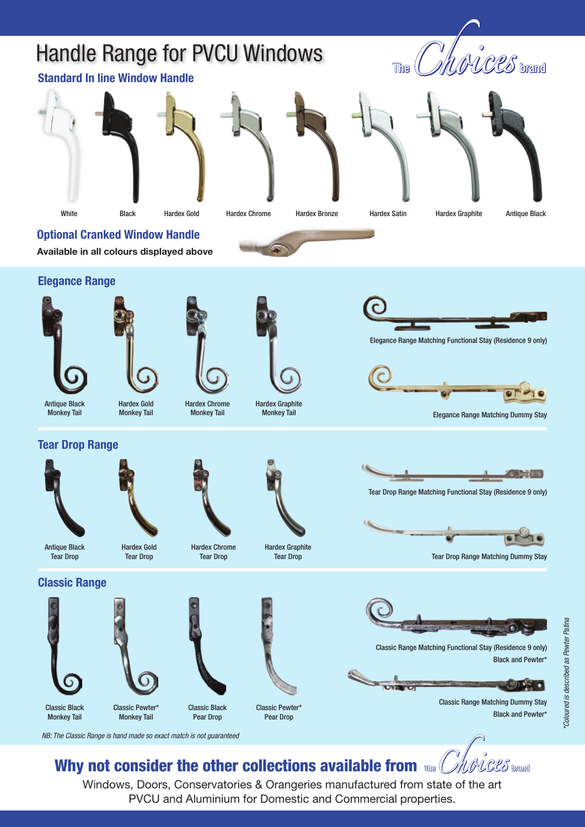# Handle Range for PVCU Windows

## *UNICES* brand  $\mathbb{R}$



**Available in all colours displayed above**

**Standard In line Window Handle**









Black Hardex Chrome Hardex Bronze Hardex Satin Hardex Graphite Antique Black

**Optional Cranked Window Handle**



**Elegance Range**







Hardex Chrome Monkey Tail



Hardex Graphite



Elegance Range Matching Functional Stay (Residence 9 only)



Tear Drop Range Matching Functional Stay (Residence 9 only)

**Elegance Range Matching Dummy Stay** 

 $O(\frac{1}{\log n})$  :  $\alpha$ 

Tear Drop Range Matching Dummy Stay

Antique Black Monkey Tail



**Tear Drop Range**



**Classic Range**

Classic Black Monkey Tail



Hardex Gold Tear Drop

Hardex Chrome Tear Drop

Classic Black Pear Drop



Hardex Graphite Tear Drop









Classic Range Matching Dummy Stay Black and Pewter\*

*NB: The Classic Range is hand made so exact match is not guaranteed*

Classic Pewter\* Monkey Tail

#### Why not consider the other collections available from The *Chlorices* brand

Windows, Doors, Conservatories & Orangeries manufactured from state of the art PVCU and Aluminium for Domestic and Commercial properties.

Classic Pewter\* Pear Drop